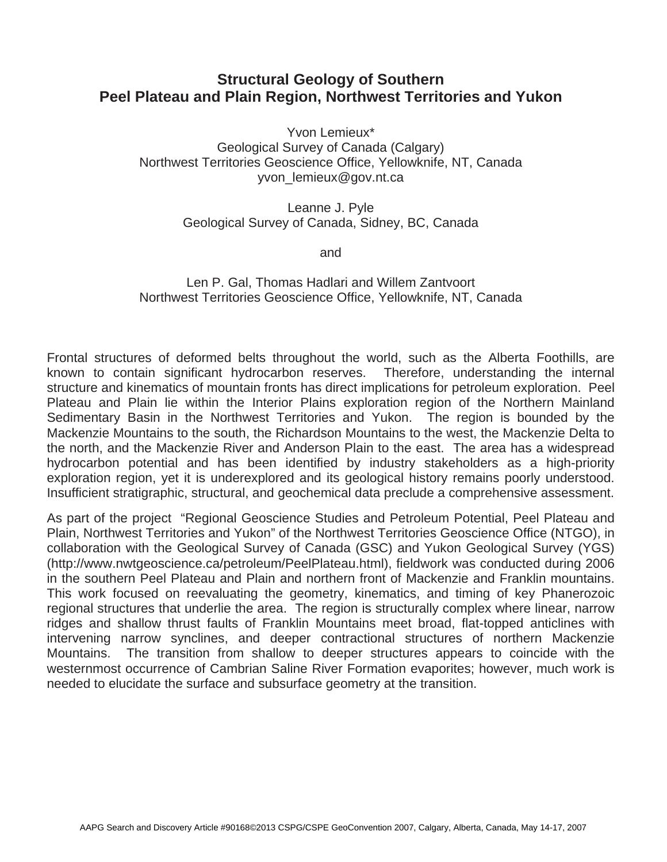## **Structural Geology of Southern Peel Plateau and Plain Region, Northwest Territories and Yukon**

Yvon Lemieux\* Geological Survey of Canada (Calgary) Northwest Territories Geoscience Office, Yellowknife, NT, Canada yvon\_lemieux@gov.nt.ca

> Leanne J. Pyle Geological Survey of Canada, Sidney, BC, Canada

> > and

Len P. Gal, Thomas Hadlari and Willem Zantvoort Northwest Territories Geoscience Office, Yellowknife, NT, Canada

Frontal structures of deformed belts throughout the world, such as the Alberta Foothills, are known to contain significant hydrocarbon reserves. Therefore, understanding the internal structure and kinematics of mountain fronts has direct implications for petroleum exploration. Peel Plateau and Plain lie within the Interior Plains exploration region of the Northern Mainland Sedimentary Basin in the Northwest Territories and Yukon. The region is bounded by the Mackenzie Mountains to the south, the Richardson Mountains to the west, the Mackenzie Delta to the north, and the Mackenzie River and Anderson Plain to the east. The area has a widespread hydrocarbon potential and has been identified by industry stakeholders as a high-priority exploration region, yet it is underexplored and its geological history remains poorly understood. Insufficient stratigraphic, structural, and geochemical data preclude a comprehensive assessment.

As part of the project "Regional Geoscience Studies and Petroleum Potential, Peel Plateau and Plain, Northwest Territories and Yukon" of the Northwest Territories Geoscience Office (NTGO), in collaboration with the Geological Survey of Canada (GSC) and Yukon Geological Survey (YGS) (http://www.nwtgeoscience.ca/petroleum/PeelPlateau.html), fieldwork was conducted during 2006 in the southern Peel Plateau and Plain and northern front of Mackenzie and Franklin mountains. This work focused on reevaluating the geometry, kinematics, and timing of key Phanerozoic regional structures that underlie the area. The region is structurally complex where linear, narrow ridges and shallow thrust faults of Franklin Mountains meet broad, flat-topped anticlines with intervening narrow synclines, and deeper contractional structures of northern Mackenzie Mountains. The transition from shallow to deeper structures appears to coincide with the westernmost occurrence of Cambrian Saline River Formation evaporites; however, much work is needed to elucidate the surface and subsurface geometry at the transition.